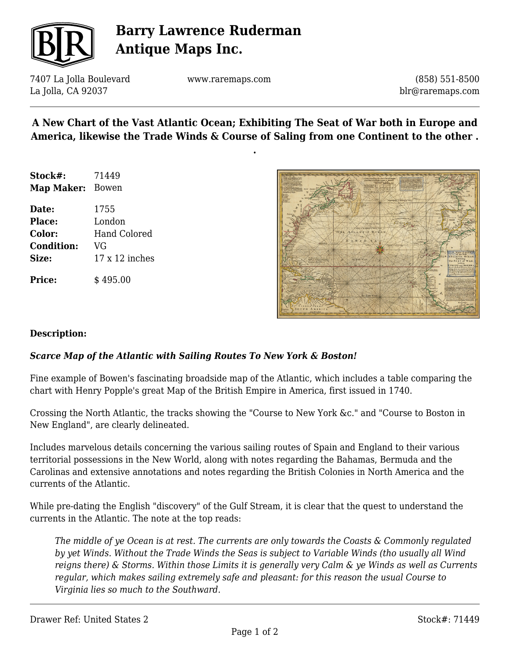

# **Barry Lawrence Ruderman Antique Maps Inc.**

7407 La Jolla Boulevard La Jolla, CA 92037

www.raremaps.com

(858) 551-8500 blr@raremaps.com

### **A New Chart of the Vast Atlantic Ocean; Exhibiting The Seat of War both in Europe and America, likewise the Trade Winds & Course of Saling from one Continent to the other .**

**.**

| Stock#:          | 71449 |
|------------------|-------|
| Map Maker: Bowen |       |
| Date:            | 1755  |
|                  |       |

**Place:** London **Color:** Hand Colored **Condition:** VG **Size:** 17 x 12 inches

**Price:**  $\qquad$  \$ 495.00



#### **Description:**

### *Scarce Map of the Atlantic with Sailing Routes To New York & Boston!*

Fine example of Bowen's fascinating broadside map of the Atlantic, which includes a table comparing the chart with Henry Popple's great Map of the British Empire in America, first issued in 1740.

Crossing the North Atlantic, the tracks showing the "Course to New York &c." and "Course to Boston in New England", are clearly delineated.

Includes marvelous details concerning the various sailing routes of Spain and England to their various territorial possessions in the New World, along with notes regarding the Bahamas, Bermuda and the Carolinas and extensive annotations and notes regarding the British Colonies in North America and the currents of the Atlantic.

While pre-dating the English "discovery" of the Gulf Stream, it is clear that the quest to understand the currents in the Atlantic. The note at the top reads:

*The middle of ye Ocean is at rest. The currents are only towards the Coasts & Commonly regulated by yet Winds. Without the Trade Winds the Seas is subject to Variable Winds (tho usually all Wind reigns there) & Storms. Within those Limits it is generally very Calm & ye Winds as well as Currents regular, which makes sailing extremely safe and pleasant: for this reason the usual Course to Virginia lies so much to the Southward.*